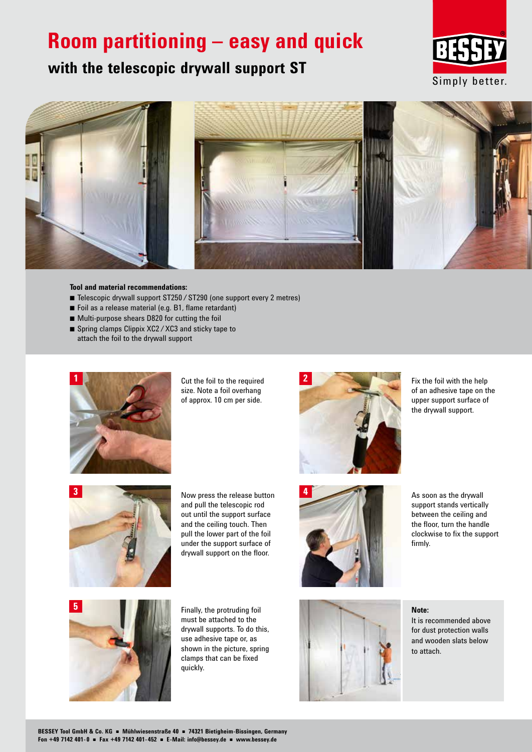## **Room partitioning – easy and quick**







### **Tool and material recommendations:**

- Telescopic drywall support ST250 / ST290 (one support every 2 metres)
- $\blacksquare$  Foil as a release material (e.g. B1, flame retardant)
- $\blacksquare$  Multi-purpose shears D820 for cutting the foil
- Spring clamps Clippix XC2 / XC3 and sticky tape to attach the foil to the drywall support



Cut the foil to the required size. Note a foil overhang of approx. 10 cm per side.



Fix the foil with the help of an adhesive tape on the upper support surface of the drywall support.



and pull the telescopic rod out until the support surface and the ceiling touch. Then pull the lower part of the foil under the support surface of drywall support on the floor.



As soon as the drywall support stands vertically between the ceiling and the floor, turn the handle clockwise to fix the support firmly.



Finally, the protruding foil must be attached to the drywall supports. To do this, use adhesive tape or, as shown in the picture, spring clamps that can be fixed quickly.



**Note:** It is recommended above for dust protection walls and wooden slats below to attach.